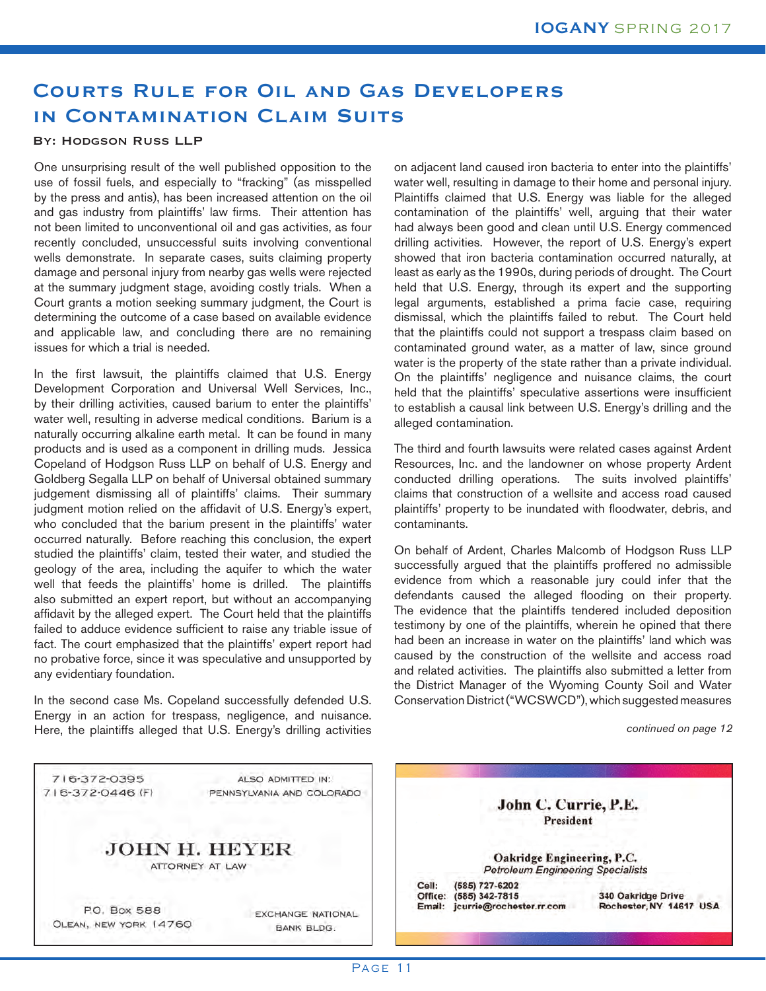## **Courts Rule for Oil and Gas Developers in Contamination Claim Suits**

## By: Hodgson Russ LLP

One unsurprising result of the well published opposition to the use of fossil fuels, and especially to "fracking" (as misspelled by the press and antis), has been increased attention on the oil and gas industry from plaintiffs' law firms. Their attention has not been limited to unconventional oil and gas activities, as four recently concluded, unsuccessful suits involving conventional wells demonstrate. In separate cases, suits claiming property damage and personal injury from nearby gas wells were rejected at the summary judgment stage, avoiding costly trials. When a Court grants a motion seeking summary judgment, the Court is determining the outcome of a case based on available evidence and applicable law, and concluding there are no remaining issues for which a trial is needed.

In the first lawsuit, the plaintiffs claimed that U.S. Energy Development Corporation and Universal Well Services, Inc., by their drilling activities, caused barium to enter the plaintiffs' water well, resulting in adverse medical conditions. Barium is a naturally occurring alkaline earth metal. It can be found in many products and is used as a component in drilling muds. Jessica Copeland of Hodgson Russ LLP on behalf of U.S. Energy and Goldberg Segalla LLP on behalf of Universal obtained summary judgement dismissing all of plaintiffs' claims. Their summary judgment motion relied on the affidavit of U.S. Energy's expert, who concluded that the barium present in the plaintiffs' water occurred naturally. Before reaching this conclusion, the expert studied the plaintiffs' claim, tested their water, and studied the geology of the area, including the aquifer to which the water well that feeds the plaintiffs' home is drilled. The plaintiffs also submitted an expert report, but without an accompanying affidavit by the alleged expert. The Court held that the plaintiffs failed to adduce evidence sufficient to raise any triable issue of fact. The court emphasized that the plaintiffs' expert report had no probative force, since it was speculative and unsupported by any evidentiary foundation.

In the second case Ms. Copeland successfully defended U.S. Energy in an action for trespass, negligence, and nuisance. Here, the plaintiffs alleged that U.S. Energy's drilling activities on adjacent land caused iron bacteria to enter into the plaintiffs' water well, resulting in damage to their home and personal injury. Plaintiffs claimed that U.S. Energy was liable for the alleged contamination of the plaintiffs' well, arguing that their water had always been good and clean until U.S. Energy commenced drilling activities. However, the report of U.S. Energy's expert showed that iron bacteria contamination occurred naturally, at least as early as the 1990s, during periods of drought. The Court held that U.S. Energy, through its expert and the supporting legal arguments, established a prima facie case, requiring dismissal, which the plaintiffs failed to rebut. The Court held that the plaintiffs could not support a trespass claim based on contaminated ground water, as a matter of law, since ground water is the property of the state rather than a private individual. On the plaintiffs' negligence and nuisance claims, the court held that the plaintiffs' speculative assertions were insufficient to establish a causal link between U.S. Energy's drilling and the alleged contamination.

The third and fourth lawsuits were related cases against Ardent Resources, Inc. and the landowner on whose property Ardent conducted drilling operations. The suits involved plaintiffs' claims that construction of a wellsite and access road caused plaintiffs' property to be inundated with floodwater, debris, and contaminants. 

On behalf of Ardent, Charles Malcomb of Hodgson Russ LLP successfully argued that the plaintiffs proffered no admissible evidence from which a reasonable jury could infer that the defendants caused the alleged flooding on their property. The evidence that the plaintiffs tendered included deposition testimony by one of the plaintiffs, wherein he opined that there had been an increase in water on the plaintiffs' land which was caused by the construction of the wellsite and access road and related activities. The plaintiffs also submitted a letter from the District Manager of the Wyoming County Soil and Water Conservation District ("WCSWCD"), which suggested measures

*continued on page 12*